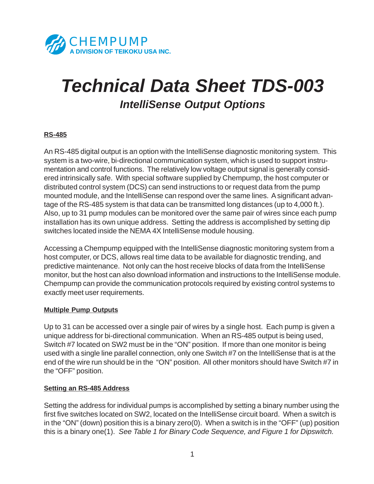

# *Technical Data Sheet TDS-003 IntelliSense Output Options*

# **RS-485**

An RS-485 digital output is an option with the IntelliSense diagnostic monitoring system. This system is a two-wire, bi-directional communication system, which is used to support instrumentation and control functions. The relatively low voltage output signal is generally considered intrinsically safe. With special software supplied by Chempump, the host computer or distributed control system (DCS) can send instructions to or request data from the pump mounted module, and the IntelliSense can respond over the same lines. A significant advantage of the RS-485 system is that data can be transmitted long distances (up to 4,000 ft.). Also, up to 31 pump modules can be monitored over the same pair of wires since each pump installation has its own unique address. Setting the address is accomplished by setting dip switches located inside the NEMA 4X IntelliSense module housing.

Accessing a Chempump equipped with the IntelliSense diagnostic monitoring system from a host computer, or DCS, allows real time data to be available for diagnostic trending, and predictive maintenance. Not only can the host receive blocks of data from the IntelliSense monitor, but the host can also download information and instructions to the IntelliSense module. Chempump can provide the communication protocols required by existing control systems to exactly meet user requirements.

#### **Multiple Pump Outputs**

Up to 31 can be accessed over a single pair of wires by a single host. Each pump is given a unique address for bi-directional communication. When an RS-485 output is being used, Switch #7 located on SW2 must be in the "ON" position. If more than one monitor is being used with a single line parallel connection, only one Switch #7 on the IntelliSense that is at the end of the wire run should be in the "ON" position. All other monitors should have Switch #7 in the "OFF" position.

#### **Setting an RS-485 Address**

Setting the address for individual pumps is accomplished by setting a binary number using the first five switches located on SW2, located on the IntelliSense circuit board. When a switch is in the "ON" (down) position this is a binary zero(0). When a switch is in the "OFF" (up) position this is a binary one(1). *See Table 1 for Binary Code Sequence, and Figure 1 for Dipswitch.*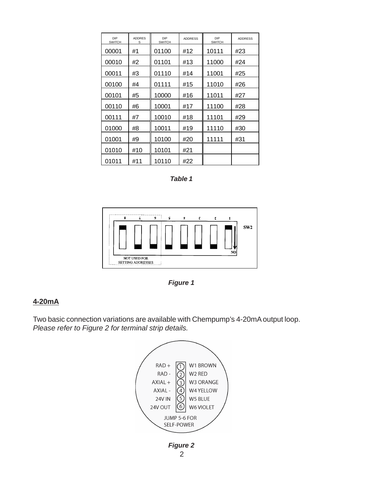| DIP<br><b>SWITCH</b> | <b>ADDRES</b><br>S | DIP<br><b>SWITCH</b> | <b>ADDRESS</b> | DIP<br><b>SWITCH</b> | <b>ADDRESS</b> |
|----------------------|--------------------|----------------------|----------------|----------------------|----------------|
| 00001                | #1                 | 01100                | #12            | 10111                | #23            |
| 00010                | #2                 | 01101                | #13            | 11000                | #24            |
| 00011                | #3                 | 01110                | #14            | 11001                | #25            |
| 00100                | #4                 | 01111                | #15            | 11010                | #26            |
| 00101                | #5                 | 10000                | #16            | 11011                | #27            |
| 00110                | #6                 | 10001                | #17            | 11100                | #28            |
| 00111                | #7                 | 10010                | #18            | 11101                | #29            |
| 01000                | #8                 | 10011                | #19            | 11110                | #30            |
| 01001                | #9                 | 10100                | #20            | 11111                | #31            |
| 01010                | #10                | 10101                | #21            |                      |                |
| 01011                | #11                | 10110                | #22            |                      |                |

*Table 1*



*Figure 1*

# **4-20mA**

Two basic connection variations are available with Chempump's 4-20mA output loop. *Please refer to Figure 2 for terminal strip details.*

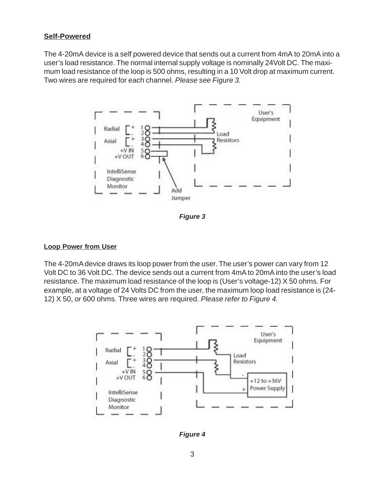# **Self-Powered**

The 4-20mA device is a self powered device that sends out a current from 4mA to 20mA into a user's load resistance. The normal internal supply voltage is nominally 24Volt DC. The maximum load resistance of the loop is 500 ohms, resulting in a 10 Volt drop at maximum current. Two wires are required for each channel. *Please see Figure 3.*



*Figure 3*

## **Loop Power from User**

The 4-20mA device draws its loop power from the user. The user's power can vary from 12 Volt DC to 36 Volt DC. The device sends out a current from 4mA to 20mA into the user's load resistance. The maximum load resistance of the loop is (User's voltage-12) X 50 ohms. For example, at a voltage of 24 Volts DC from the user, the maximum loop load resistance is (24- 12) X 50, or 600 ohms. Three wires are required. *Please refer to Figure 4.*



*Figure 4*